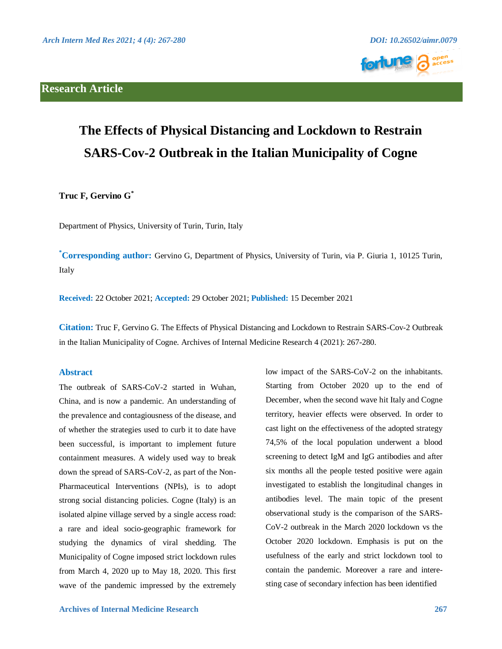# **Research Article**





# **The Effects of Physical Distancing and Lockdown to Restrain SARS-Cov-2 Outbreak in the Italian Municipality of Cogne**

**Truc F, Gervino G \***

Department of Physics, University of Turin, Turin, Italy

**\*Corresponding author:** Gervino G, Department of Physics, University of Turin, via P. Giuria 1, 10125 Turin, Italy

**Received:** 22 October 2021; **Accepted:** 29 October 2021; **Published:** 15 December 2021

**Citation:** Truc F, Gervino G. The Effects of Physical Distancing and Lockdown to Restrain SARS-Cov-2 Outbreak in the Italian Municipality of Cogne. Archives of Internal Medicine Research 4 (2021): 267-280.

# **Abstract**

The outbreak of SARS-CoV-2 started in Wuhan, China, and is now a pandemic. An understanding of the prevalence and contagiousness of the disease, and of whether the strategies used to curb it to date have been successful, is important to implement future containment measures. A widely used way to break down the spread of SARS-CoV-2, as part of the Non-Pharmaceutical Interventions (NPIs), is to adopt strong social distancing policies. Cogne (Italy) is an isolated alpine village served by a single access road: a rare and ideal socio-geographic framework for studying the dynamics of viral shedding. The Municipality of Cogne imposed strict lockdown rules from March 4, 2020 up to May 18, 2020. This first wave of the pandemic impressed by the extremely

 **Archives of Internal Medicine Research 267**

low impact of the SARS-CoV-2 on the inhabitants. Starting from October 2020 up to the end of December, when the second wave hit Italy and Cogne territory, heavier effects were observed. In order to cast light on the effectiveness of the adopted strategy 74,5% of the local population underwent a blood screening to detect IgM and IgG antibodies and after six months all the people tested positive were again investigated to establish the longitudinal changes in antibodies level. The main topic of the present observational study is the comparison of the SARS-CoV-2 outbreak in the March 2020 lockdown vs the October 2020 lockdown. Emphasis is put on the usefulness of the early and strict lockdown tool to contain the pandemic. Moreover a rare and interesting case of secondary infection has been identified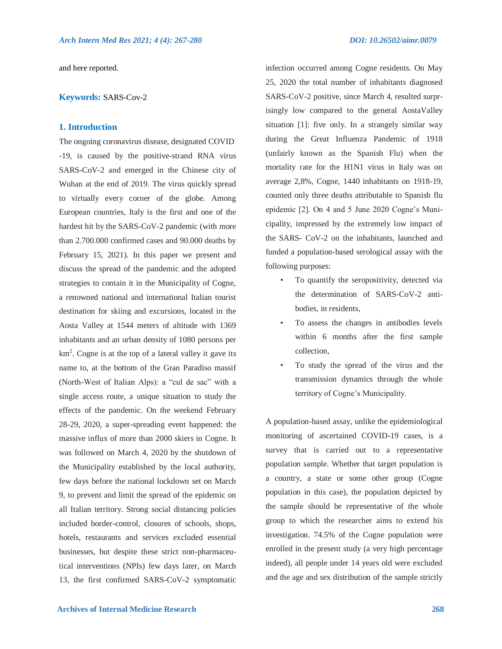and here reported.

#### **Keywords:** SARS-Cov-2

# **1. Introduction**

The ongoing coronavirus disease, designated COVID -19, is caused by the positive-strand RNA virus SARS-CoV-2 and emerged in the Chinese city of Wuhan at the end of 2019. The virus quickly spread to virtually every corner of the globe. Among European countries, Italy is the first and one of the hardest hit by the SARS-CoV-2 pandemic (with more than 2.700.000 confirmed cases and 90.000 deaths by February 15, 2021). In this paper we present and discuss the spread of the pandemic and the adopted strategies to contain it in the Municipality of Cogne, a renowned national and international Italian tourist destination for skiing and excursions, located in the Aosta Valley at 1544 meters of altitude with 1369 inhabitants and an urban density of 1080 persons per km<sup>2</sup>. Cogne is at the top of a lateral valley it gave its name to, at the bottom of the Gran Paradiso massif (North-West of Italian Alps): a "cul de sac" with a single access route, a unique situation to study the effects of the pandemic. On the weekend February 28-29, 2020, a super-spreading event happened: the massive influx of more than 2000 skiers in Cogne. It was followed on March 4, 2020 by the shutdown of the Municipality established by the local authority, few days before the national lockdown set on March 9, to prevent and limit the spread of the epidemic on all Italian territory. Strong social distancing policies included border-control, closures of schools, shops, hotels, restaurants and services excluded essential businesses, but despite these strict non-pharmaceutical interventions (NPIs) few days later, on March 13, the first confirmed SARS-CoV-2 symptomatic

infection occurred among Cogne residents. On May 25, 2020 the total number of inhabitants diagnosed SARS-CoV-2 positive, since March 4, resulted surprisingly low compared to the general AostaValley situation [1]: five only. In a strangely similar way during the Great Influenza Pandemic of 1918 (unfairly known as the Spanish Flu) when the mortality rate for the H1N1 virus in Italy was on average 2,8%, Cogne, 1440 inhabitants on 1918-19, counted only three deaths attributable to Spanish flu epidemic [2]. On 4 and 5 June 2020 Cogne's Municipality, impressed by the extremely low impact of the SARS- CoV-2 on the inhabitants, launched and funded a population-based serological assay with the following purposes:

- To quantify the seropositivity, detected via the determination of SARS-CoV-2 antibodies, in residents,
- To assess the changes in antibodies levels within 6 months after the first sample collection,
- To study the spread of the virus and the transmission dynamics through the whole territory of Cogne's Municipality.

A population-based assay, unlike the epidemiological monitoring of ascertained COVID-19 cases, is a survey that is carried out to a representative population sample. Whether that target population is a country, a state or some other group (Cogne population in this case), the population depicted by the sample should be representative of the whole group to which the researcher aims to extend his investigation. 74.5% of the Cogne population were enrolled in the present study (a very high percentage indeed), all people under 14 years old were excluded and the age and sex distribution of the sample strictly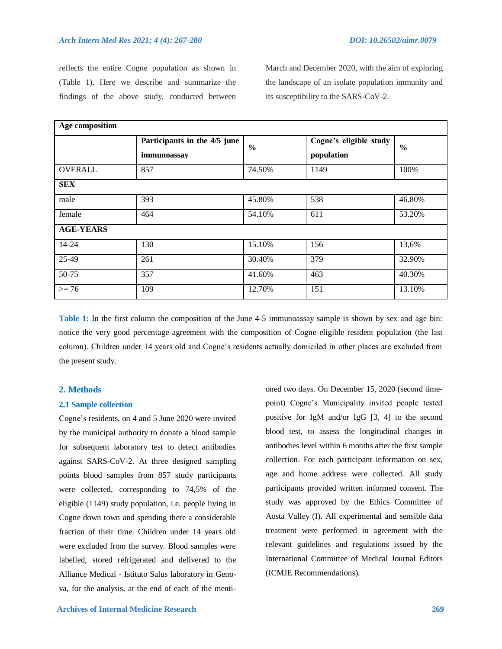reflects the entire Cogne population as shown in (Table 1). Here we describe and summarize the findings of the above study, conducted between March and December 2020, with the aim of exploring the landscape of an isolate population immunity and its susceptibility to the SARS-CoV-2.

| Age composition  |                                             |               |                                      |               |  |
|------------------|---------------------------------------------|---------------|--------------------------------------|---------------|--|
|                  | Participants in the 4/5 june<br>immunoassay | $\frac{0}{0}$ | Cogne's eligible study<br>population | $\frac{0}{0}$ |  |
| <b>OVERALL</b>   | 857                                         | 74.50%        | 1149                                 | 100%          |  |
| <b>SEX</b>       |                                             |               |                                      |               |  |
| male             | 393                                         | 45.80%        | 538                                  | 46.80%        |  |
| female           | 464                                         | 54.10%        | 611                                  | 53.20%        |  |
| <b>AGE-YEARS</b> |                                             |               |                                      |               |  |
| 14-24            | 130                                         | 15.10%        | 156                                  | 13,6%         |  |
| 25-49            | 261                                         | 30.40%        | 379                                  | 32.90%        |  |
| 50-75            | 357                                         | 41.60%        | 463                                  | 40.30%        |  |
| $>= 76$          | 109                                         | 12.70%        | 151                                  | 13.10%        |  |

**Table 1:** In the first column the composition of the June 4-5 immunoassay sample is shown by sex and age bin: notice the very good percentage agreement with the composition of Cogne eligible resident population (the last column). Children under 14 years old and Cogne's residents actually domiciled in other places are excluded from the present study.

#### **2. Methods**

### **2.1 Sample collection**

Cogne's residents, on 4 and 5 June 2020 were invited by the municipal authority to donate a blood sample for subsequent laboratory test to detect antibodies against SARS-CoV-2. At three designed sampling points blood samples from 857 study participants were collected, corresponding to 74,5% of the eligible (1149) study population, i.e. people living in Cogne down town and spending there a considerable fraction of their time. Children under 14 years old were excluded from the survey. Blood samples were labelled, stored refrigerated and delivered to the Alliance Medical - Istituto Salus laboratory in Genova, for the analysis, at the end of each of the mentioned two days. On December 15, 2020 (second timepoint) Cogne's Municipality invited people tested positive for IgM and/or IgG [3, 4] to the second blood test, to assess the longitudinal changes in antibodies level within 6 months after the first sample collection. For each participant information on sex, age and home address were collected. All study participants provided written informed consent. The study was approved by the Ethics Committee of Aosta Valley (I). All experimental and sensible data treatment were performed in agreement with the relevant guidelines and regulations issued by the International Committee of Medical Journal Editors (ICMJE Recommendations).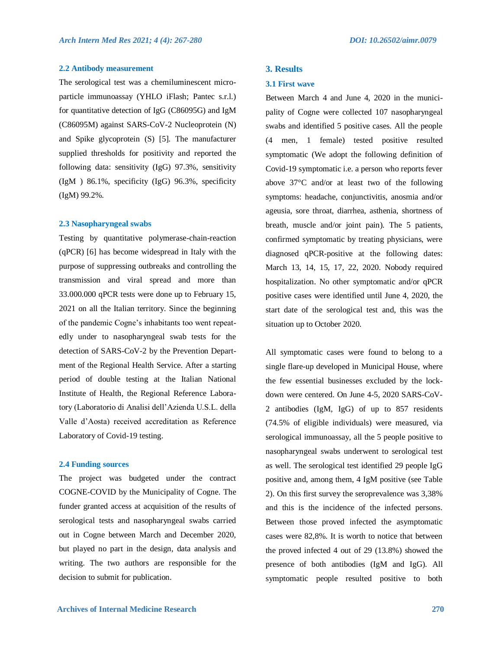#### **2.2 Antibody measurement**

The serological test was a chemiluminescent microparticle immunoassay (YHLO iFlash; Pantec s.r.l.) for quantitative detection of IgG (C86095G) and IgM (C86095M) against SARS-CoV-2 Nucleoprotein (N) and Spike glycoprotein (S) [5]. The manufacturer supplied thresholds for positivity and reported the following data: sensitivity (IgG) 97.3%, sensitivity (IgM ) 86.1%, specificity (IgG) 96.3%, specificity (IgM) 99.2%.

#### **2.3 Nasopharyngeal swabs**

Testing by quantitative polymerase-chain-reaction (qPCR) [6] has become widespread in Italy with the purpose of suppressing outbreaks and controlling the transmission and viral spread and more than 33.000.000 qPCR tests were done up to February 15, 2021 on all the Italian territory. Since the beginning of the pandemic Cogne's inhabitants too went repeatedly under to nasopharyngeal swab tests for the detection of SARS-CoV-2 by the Prevention Department of the Regional Health Service. After a starting period of double testing at the Italian National Institute of Health, the Regional Reference Laboratory (Laboratorio di Analisi dell'Azienda U.S.L. della Valle d'Aosta) received accreditation as Reference Laboratory of Covid-19 testing.

#### **2.4 Funding sources**

The project was budgeted under the contract COGNE-COVID by the Municipality of Cogne. The funder granted access at acquisition of the results of serological tests and nasopharyngeal swabs carried out in Cogne between March and December 2020, but played no part in the design, data analysis and writing. The two authors are responsible for the decision to submit for publication.

#### **3. Results**

#### **3.1 First wave**

Between March 4 and June 4, 2020 in the municipality of Cogne were collected 107 nasopharyngeal swabs and identified 5 positive cases. All the people (4 men, 1 female) tested positive resulted symptomatic (We adopt the following definition of Covid-19 symptomatic i.e. a person who reports fever above 37°C and/or at least two of the following symptoms: headache, conjunctivitis, anosmia and/or ageusia, sore throat, diarrhea, asthenia, shortness of breath, muscle and/or joint pain). The 5 patients, confirmed symptomatic by treating physicians, were diagnosed qPCR-positive at the following dates: March 13, 14, 15, 17, 22, 2020. Nobody required hospitalization. No other symptomatic and/or qPCR positive cases were identified until June 4, 2020, the start date of the serological test and, this was the situation up to October 2020.

All symptomatic cases were found to belong to a single flare-up developed in Municipal House, where the few essential businesses excluded by the lockdown were centered. On June 4-5, 2020 SARS-CoV-2 antibodies (IgM, IgG) of up to 857 residents (74.5% of eligible individuals) were measured, via serological immunoassay, all the 5 people positive to nasopharyngeal swabs underwent to serological test as well. The serological test identified 29 people IgG positive and, among them, 4 IgM positive (see Table 2). On this first survey the seroprevalence was 3,38% and this is the incidence of the infected persons. Between those proved infected the asymptomatic cases were 82,8%. It is worth to notice that between the proved infected 4 out of 29 (13.8%) showed the presence of both antibodies (IgM and IgG). All symptomatic people resulted positive to both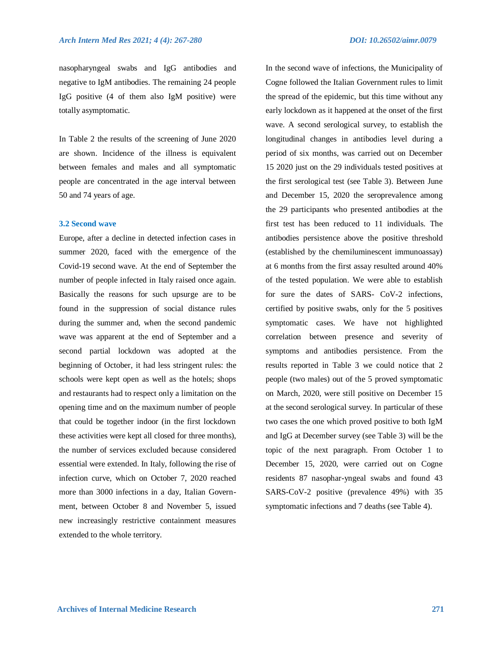nasopharyngeal swabs and IgG antibodies and negative to IgM antibodies. The remaining 24 people IgG positive (4 of them also IgM positive) were totally asymptomatic.

In Table 2 the results of the screening of June 2020 are shown. Incidence of the illness is equivalent between females and males and all symptomatic people are concentrated in the age interval between 50 and 74 years of age.

#### **3.2 Second wave**

Europe, after a decline in detected infection cases in summer 2020, faced with the emergence of the Covid-19 second wave. At the end of September the number of people infected in Italy raised once again. Basically the reasons for such upsurge are to be found in the suppression of social distance rules during the summer and, when the second pandemic wave was apparent at the end of September and a second partial lockdown was adopted at the beginning of October, it had less stringent rules: the schools were kept open as well as the hotels; shops and restaurants had to respect only a limitation on the opening time and on the maximum number of people that could be together indoor (in the first lockdown these activities were kept all closed for three months), the number of services excluded because considered essential were extended. In Italy, following the rise of infection curve, which on October 7, 2020 reached more than 3000 infections in a day, Italian Government, between October 8 and November 5, issued new increasingly restrictive containment measures extended to the whole territory.

In the second wave of infections, the Municipality of Cogne followed the Italian Government rules to limit the spread of the epidemic, but this time without any early lockdown as it happened at the onset of the first wave. A second serological survey, to establish the longitudinal changes in antibodies level during a period of six months, was carried out on December 15 2020 just on the 29 individuals tested positives at the first serological test (see Table 3). Between June and December 15, 2020 the seroprevalence among the 29 participants who presented antibodies at the first test has been reduced to 11 individuals. The antibodies persistence above the positive threshold (established by the chemiluminescent immunoassay) at 6 months from the first assay resulted around 40% of the tested population. We were able to establish for sure the dates of SARS- CoV-2 infections, certified by positive swabs, only for the 5 positives symptomatic cases. We have not highlighted correlation between presence and severity of symptoms and antibodies persistence. From the results reported in Table 3 we could notice that 2 people (two males) out of the 5 proved symptomatic on March, 2020, were still positive on December 15 at the second serological survey. In particular of these two cases the one which proved positive to both IgM and IgG at December survey (see Table 3) will be the topic of the next paragraph. From October 1 to December 15, 2020, were carried out on Cogne residents 87 nasophar-yngeal swabs and found 43 SARS-CoV-2 positive (prevalence 49%) with 35 symptomatic infections and 7 deaths (see Table 4).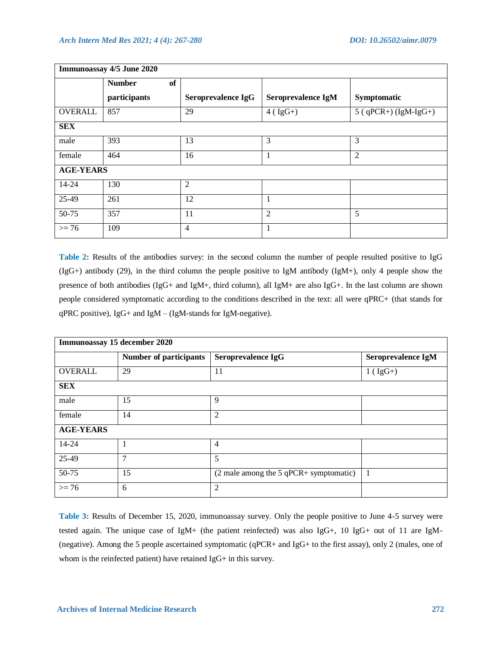| Immunoassay 4/5 June 2020 |                     |                    |                    |                        |  |
|---------------------------|---------------------|--------------------|--------------------|------------------------|--|
|                           | <b>Number</b><br>of |                    |                    |                        |  |
|                           | participants        | Seroprevalence IgG | Seroprevalence IgM | Symptomatic            |  |
| <b>OVERALL</b>            | 857                 | 29                 | $4 ( IgG+)$        | $5$ (qPCR+) (IgM-IgG+) |  |
| <b>SEX</b>                |                     |                    |                    |                        |  |
| male                      | 393                 | 13                 | 3                  | 3                      |  |
| female                    | 464                 | 16                 | 1                  | $\overline{2}$         |  |
| <b>AGE-YEARS</b>          |                     |                    |                    |                        |  |
| 14-24                     | 130                 | 2                  |                    |                        |  |
| 25-49                     | 261                 | 12                 | 1                  |                        |  |
| 50-75                     | 357                 | 11                 | $\overline{2}$     | 5                      |  |
| $>= 76$                   | 109                 | 4                  | 1                  |                        |  |

**Table 2:** Results of the antibodies survey: in the second column the number of people resulted positive to IgG  $(IgG+)$  antibody (29), in the third column the people positive to IgM antibody (IgM+), only 4 people show the presence of both antibodies (IgG+ and IgM+, third column), all IgM+ are also IgG+. In the last column are shown people considered symptomatic according to the conditions described in the text: all were qPRC+ (that stands for qPRC positive), IgG+ and IgM – (IgM-stands for IgM-negative).

| Immunoassay 15 december 2020 |                               |                                                                   |                    |  |
|------------------------------|-------------------------------|-------------------------------------------------------------------|--------------------|--|
|                              | <b>Number of participants</b> | Seroprevalence IgG                                                | Seroprevalence IgM |  |
| <b>OVERALL</b>               | 29                            | 11                                                                | $1 (IgG+)$         |  |
| <b>SEX</b>                   |                               |                                                                   |                    |  |
| male                         | 15                            | 9                                                                 |                    |  |
| female                       | 14                            | $\overline{2}$                                                    |                    |  |
| <b>AGE-YEARS</b>             |                               |                                                                   |                    |  |
| 14-24                        | 1                             | $\overline{4}$                                                    |                    |  |
| 25-49                        | 7                             | 5                                                                 |                    |  |
| 50-75                        | 15                            | $(2 \text{ male among the } 5 \text{ qPCR} + \text{symptomatic})$ | $\overline{1}$     |  |
| $>= 76$                      | 6                             | $\overline{2}$                                                    |                    |  |

**Table 3:** Results of December 15, 2020, immunoassay survey. Only the people positive to June 4-5 survey were tested again. The unique case of IgM+ (the patient reinfected) was also IgG+, 10 IgG+ out of 11 are IgM- (negative). Among the 5 people ascertained symptomatic (qPCR+ and IgG+ to the first assay), only 2 (males, one of whom is the reinfected patient) have retained IgG+ in this survey.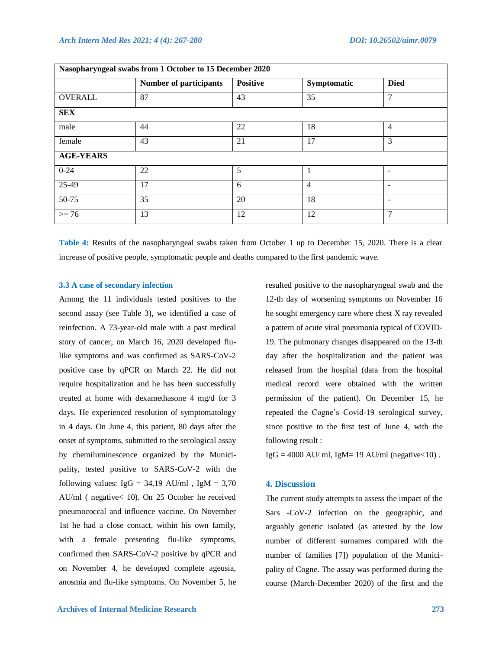| Nasopharyngeal swabs from 1 October to 15 December 2020 |                               |                 |                |                          |  |
|---------------------------------------------------------|-------------------------------|-----------------|----------------|--------------------------|--|
|                                                         | <b>Number of participants</b> | <b>Positive</b> | Symptomatic    | <b>Died</b>              |  |
| <b>OVERALL</b>                                          | 87                            | 43              | 35             | 7                        |  |
| <b>SEX</b>                                              |                               |                 |                |                          |  |
| male                                                    | 44                            | 22              | 18             | $\overline{4}$           |  |
| female                                                  | 43                            | 21              | 17             | 3                        |  |
| <b>AGE-YEARS</b>                                        |                               |                 |                |                          |  |
| $0 - 24$                                                | 22                            | 5               | 1              |                          |  |
| 25-49                                                   | 17                            | 6               | $\overline{4}$ | $\overline{\phantom{0}}$ |  |
| $50-75$                                                 | 35                            | 20              | 18             | $\overline{\phantom{0}}$ |  |
| $>= 76$                                                 | 13                            | 12              | 12             | 7                        |  |

**Table 4:** Results of the nasopharyngeal swabs taken from October 1 up to December 15, 2020. There is a clear increase of positive people, symptomatic people and deaths compared to the first pandemic wave.

#### **3.3 A case of secondary infection**

Among the 11 individuals tested positives to the second assay (see Table 3), we identified a case of reinfection. A 73-year-old male with a past medical story of cancer, on March 16, 2020 developed flulike symptoms and was confirmed as SARS-CoV-2 positive case by qPCR on March 22. He did not require hospitalization and he has been successfully treated at home with dexamethasone 4 mg/d for 3 days. He experienced resolution of symptomatology in 4 days. On June 4, this patient, 80 days after the onset of symptoms, submitted to the serological assay by chemiluminescence organized by the Municipality, tested positive to SARS-CoV-2 with the following values:  $IgG = 34,19$  AU/ml,  $IgM = 3,70$ AU/ml ( negative< 10). On 25 October he received pneumococcal and influence vaccine. On November 1st he had a close contact, within his own family, with a female presenting flu-like symptoms, confirmed then SARS-CoV-2 positive by qPCR and on November 4, he developed complete ageusia, anosmia and flu-like symptoms. On November 5, he resulted positive to the nasopharyngeal swab and the 12-th day of worsening symptoms on November 16 he sought emergency care where chest X ray revealed a pattern of acute viral pneumonia typical of COVID-19. The pulmonary changes disappeared on the 13-th day after the hospitalization and the patient was released from the hospital (data from the hospital medical record were obtained with the written permission of the patient). On December 15, he repeated the Cogne's Covid-19 serological survey, since positive to the first test of June 4, with the following result :

 $IgG = 4000$  AU/ ml, IgM= 19 AU/ml (negative < 10).

# **4. Discussion**

The current study attempts to assess the impact of the Sars -CoV-2 infection on the geographic, and arguably genetic isolated (as attested by the low number of different surnames compared with the number of families [7]) population of the Municipality of Cogne. The assay was performed during the course (March-December 2020) of the first and the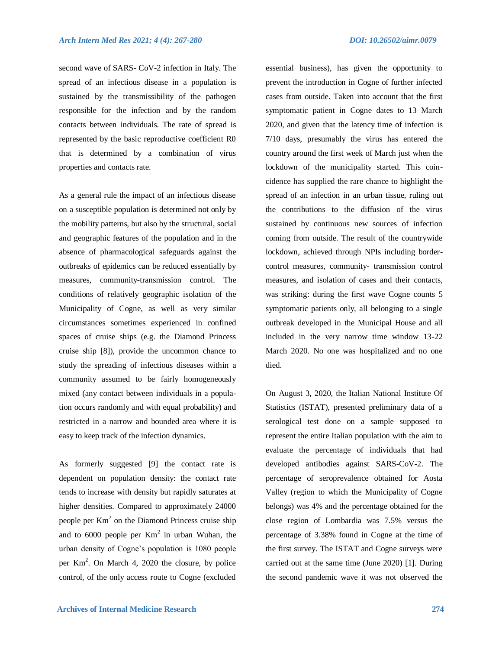second wave of SARS- CoV-2 infection in Italy. The spread of an infectious disease in a population is sustained by the transmissibility of the pathogen responsible for the infection and by the random contacts between individuals. The rate of spread is represented by the basic reproductive coefficient R0 that is determined by a combination of virus properties and contacts rate.

As a general rule the impact of an infectious disease on a susceptible population is determined not only by the mobility patterns, but also by the structural, social and geographic features of the population and in the absence of pharmacological safeguards against the outbreaks of epidemics can be reduced essentially by measures, community-transmission control. The conditions of relatively geographic isolation of the Municipality of Cogne, as well as very similar circumstances sometimes experienced in confined spaces of cruise ships (e.g. the Diamond Princess cruise ship [8]), provide the uncommon chance to study the spreading of infectious diseases within a community assumed to be fairly homogeneously mixed (any contact between individuals in a population occurs randomly and with equal probability) and restricted in a narrow and bounded area where it is easy to keep track of the infection dynamics.

As formerly suggested [9] the contact rate is dependent on population density: the contact rate tends to increase with density but rapidly saturates at higher densities. Compared to approximately 24000 people per  $Km<sup>2</sup>$  on the Diamond Princess cruise ship and to 6000 people per  $Km<sup>2</sup>$  in urban Wuhan, the urban density of Cogne's population is 1080 people per  $Km^2$ . On March 4, 2020 the closure, by police control, of the only access route to Cogne (excluded

essential business), has given the opportunity to prevent the introduction in Cogne of further infected cases from outside. Taken into account that the first symptomatic patient in Cogne dates to 13 March 2020, and given that the latency time of infection is 7/10 days, presumably the virus has entered the country around the first week of March just when the lockdown of the municipality started. This coincidence has supplied the rare chance to highlight the spread of an infection in an urban tissue, ruling out the contributions to the diffusion of the virus sustained by continuous new sources of infection coming from outside. The result of the countrywide lockdown, achieved through NPIs including bordercontrol measures, community- transmission control measures, and isolation of cases and their contacts, was striking: during the first wave Cogne counts 5 symptomatic patients only, all belonging to a single outbreak developed in the Municipal House and all included in the very narrow time window 13-22 March 2020. No one was hospitalized and no one died.

On August 3, 2020, the Italian National Institute Of Statistics (ISTAT), presented preliminary data of a serological test done on a sample supposed to represent the entire Italian population with the aim to evaluate the percentage of individuals that had developed antibodies against SARS-CoV-2. The percentage of seroprevalence obtained for Aosta Valley (region to which the Municipality of Cogne belongs) was 4% and the percentage obtained for the close region of Lombardia was 7.5% versus the percentage of 3.38% found in Cogne at the time of the first survey. The ISTAT and Cogne surveys were carried out at the same time (June 2020) [1]. During the second pandemic wave it was not observed the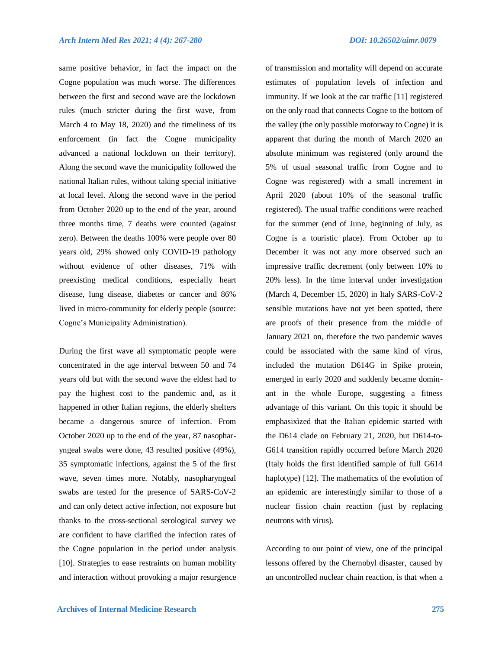same positive behavior, in fact the impact on the Cogne population was much worse. The differences between the first and second wave are the lockdown rules (much stricter during the first wave, from March 4 to May 18, 2020) and the timeliness of its enforcement (in fact the Cogne municipality advanced a national lockdown on their territory). Along the second wave the municipality followed the national Italian rules, without taking special initiative at local level. Along the second wave in the period from October 2020 up to the end of the year, around three months time, 7 deaths were counted (against zero). Between the deaths 100% were people over 80 years old, 29% showed only COVID-19 pathology without evidence of other diseases, 71% with preexisting medical conditions, especially heart disease, lung disease, diabetes or cancer and 86% lived in micro-community for elderly people (source: Cogne's Municipality Administration).

During the first wave all symptomatic people were concentrated in the age interval between 50 and 74 years old but with the second wave the eldest had to pay the highest cost to the pandemic and, as it happened in other Italian regions, the elderly shelters became a dangerous source of infection. From October 2020 up to the end of the year, 87 nasopharyngeal swabs were done, 43 resulted positive (49%), 35 symptomatic infections, against the 5 of the first wave, seven times more. Notably, nasopharyngeal swabs are tested for the presence of SARS-CoV-2 and can only detect active infection, not exposure but thanks to the cross-sectional serological survey we are confident to have clarified the infection rates of the Cogne population in the period under analysis [10]. Strategies to ease restraints on human mobility and interaction without provoking a major resurgence of transmission and mortality will depend on accurate estimates of population levels of infection and immunity. If we look at the car traffic [11] registered on the only road that connects Cogne to the bottom of the valley (the only possible motorway to Cogne) it is apparent that during the month of March 2020 an absolute minimum was registered (only around the 5% of usual seasonal traffic from Cogne and to Cogne was registered) with a small increment in April 2020 (about 10% of the seasonal traffic registered). The usual traffic conditions were reached for the summer (end of June, beginning of July, as Cogne is a touristic place). From October up to December it was not any more observed such an impressive traffic decrement (only between 10% to 20% less). In the time interval under investigation (March 4, December 15, 2020) in Italy SARS-CoV-2 sensible mutations have not yet been spotted, there are proofs of their presence from the middle of January 2021 on, therefore the two pandemic waves could be associated with the same kind of virus, included the mutation D614G in Spike protein, emerged in early 2020 and suddenly became dominant in the whole Europe, suggesting a fitness advantage of this variant. On this topic it should be emphasixìzed that the Italian epidemic started with the D614 clade on February 21, 2020, but D614-to-G614 transition rapidly occurred before March 2020 (Italy holds the first identified sample of full G614 haplotype) [12]. The mathematics of the evolution of an epidemic are interestingly similar to those of a nuclear fission chain reaction (just by replacing neutrons with virus).

According to our point of view, one of the principal lessons offered by the Chernobyl disaster, caused by an uncontrolled nuclear chain reaction, is that when a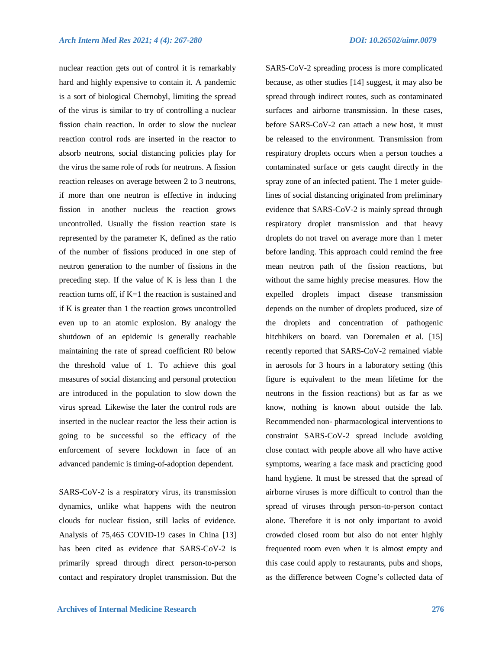SARS-CoV-2 spreading process is more complicated

nuclear reaction gets out of control it is remarkably hard and highly expensive to contain it. A pandemic is a sort of biological Chernobyl, limiting the spread of the virus is similar to try of controlling a nuclear fission chain reaction. In order to slow the nuclear reaction control rods are inserted in the reactor to absorb neutrons, social distancing policies play for the virus the same role of rods for neutrons. A fission reaction releases on average between 2 to 3 neutrons, if more than one neutron is effective in inducing fission in another nucleus the reaction grows uncontrolled. Usually the fission reaction state is represented by the parameter K, defined as the ratio of the number of fissions produced in one step of neutron generation to the number of fissions in the preceding step. If the value of K is less than 1 the reaction turns off, if K=1 the reaction is sustained and if K is greater than 1 the reaction grows uncontrolled even up to an atomic explosion. By analogy the shutdown of an epidemic is generally reachable maintaining the rate of spread coefficient R0 below the threshold value of 1. To achieve this goal measures of social distancing and personal protection are introduced in the population to slow down the virus spread. Likewise the later the control rods are inserted in the nuclear reactor the less their action is going to be successful so the efficacy of the enforcement of severe lockdown in face of an advanced pandemic is timing-of-adoption dependent.

SARS-CoV-2 is a respiratory virus, its transmission dynamics, unlike what happens with the neutron clouds for nuclear fission, still lacks of evidence. Analysis of 75,465 COVID-19 cases in China [13] has been cited as evidence that SARS-CoV-2 is primarily spread through direct person-to-person contact and respiratory droplet transmission. But the because, as other studies [14] suggest, it may also be spread through indirect routes, such as contaminated surfaces and airborne transmission. In these cases, before SARS-CoV-2 can attach a new host, it must be released to the environment. Transmission from respiratory droplets occurs when a person touches a contaminated surface or gets caught directly in the spray zone of an infected patient. The 1 meter guidelines of social distancing originated from preliminary evidence that SARS-CoV-2 is mainly spread through respiratory droplet transmission and that heavy droplets do not travel on average more than 1 meter before landing. This approach could remind the free mean neutron path of the fission reactions, but without the same highly precise measures. How the expelled droplets impact disease transmission depends on the number of droplets produced, size of the droplets and concentration of pathogenic hitchhikers on board. van Doremalen et al. [15] recently reported that SARS-CoV-2 remained viable in aerosols for 3 hours in a laboratory setting (this figure is equivalent to the mean lifetime for the neutrons in the fission reactions) but as far as we know, nothing is known about outside the lab. Recommended non- pharmacological interventions to constraint SARS-CoV-2 spread include avoiding close contact with people above all who have active symptoms, wearing a face mask and practicing good hand hygiene. It must be stressed that the spread of airborne viruses is more difficult to control than the spread of viruses through person-to-person contact alone. Therefore it is not only important to avoid crowded closed room but also do not enter highly frequented room even when it is almost empty and this case could apply to restaurants, pubs and shops, as the difference between Cogne's collected data of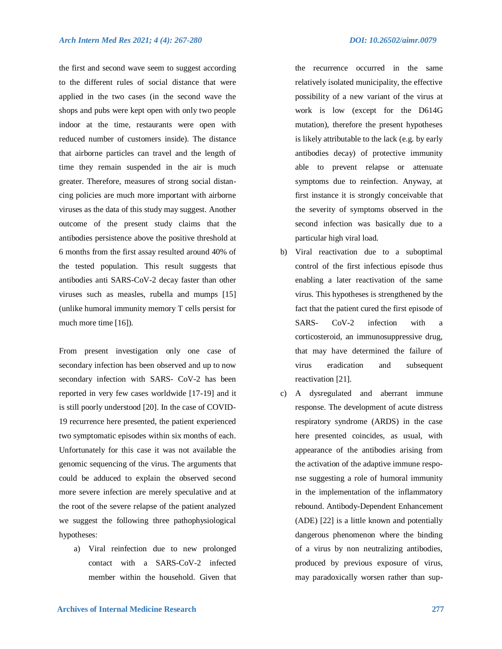the first and second wave seem to suggest according to the different rules of social distance that were applied in the two cases (in the second wave the shops and pubs were kept open with only two people indoor at the time, restaurants were open with reduced number of customers inside). The distance that airborne particles can travel and the length of time they remain suspended in the air is much greater. Therefore, measures of strong social distancing policies are much more important with airborne viruses as the data of this study may suggest. Another outcome of the present study claims that the antibodies persistence above the positive threshold at 6 months from the first assay resulted around 40% of the tested population. This result suggests that antibodies anti SARS-CoV-2 decay faster than other viruses such as measles, rubella and mumps [15] (unlike humoral immunity memory T cells persist for much more time [16]).

From present investigation only one case of secondary infection has been observed and up to now secondary infection with SARS- CoV-2 has been reported in very few cases worldwide [17-19] and it is still poorly understood [20]. In the case of COVID-19 recurrence here presented, the patient experienced two symptomatic episodes within six months of each. Unfortunately for this case it was not available the genomic sequencing of the virus. The arguments that could be adduced to explain the observed second more severe infection are merely speculative and at the root of the severe relapse of the patient analyzed we suggest the following three pathophysiological hypotheses:

a) Viral reinfection due to new prolonged contact with a SARS-CoV-2 infected member within the household. Given that the recurrence occurred in the same relatively isolated municipality, the effective possibility of a new variant of the virus at work is low (except for the D614G mutation), therefore the present hypotheses is likely attributable to the lack (e.g. by early antibodies decay) of protective immunity able to prevent relapse or attenuate symptoms due to reinfection. Anyway, at first instance it is strongly conceivable that the severity of symptoms observed in the second infection was basically due to a particular high viral load.

- b) Viral reactivation due to a suboptimal control of the first infectious episode thus enabling a later reactivation of the same virus. This hypotheses is strengthened by the fact that the patient cured the first episode of SARS- CoV-2 infection with a corticosteroid, an immunosuppressive drug, that may have determined the failure of virus eradication and subsequent reactivation [21].
- c) A dysregulated and aberrant immune response. The development of acute distress respiratory syndrome (ARDS) in the case here presented coincides, as usual, with appearance of the antibodies arising from the activation of the adaptive immune response suggesting a role of humoral immunity in the implementation of the inflammatory rebound. Antibody-Dependent Enhancement (ADE) [22] is a little known and potentially dangerous phenomenon where the binding of a virus by non neutralizing antibodies, produced by previous exposure of virus, may paradoxically worsen rather than sup-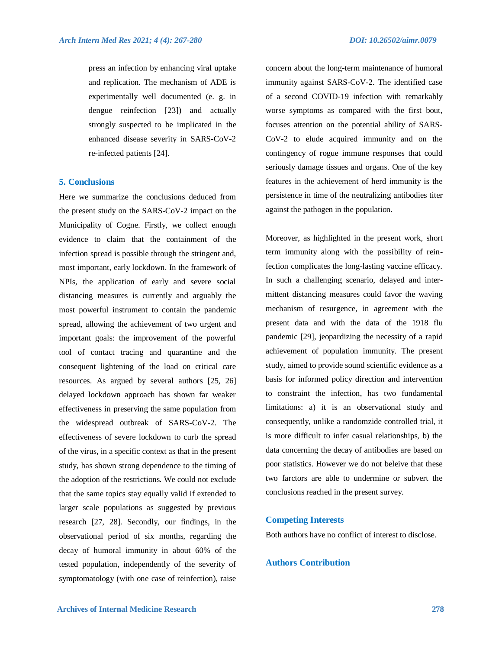press an infection by enhancing viral uptake and replication. The mechanism of ADE is experimentally well documented (e. g. in dengue reinfection [23]) and actually strongly suspected to be implicated in the enhanced disease severity in SARS-CoV-2 re-infected patients [24].

#### **5. Conclusions**

Here we summarize the conclusions deduced from the present study on the SARS-CoV-2 impact on the Municipality of Cogne. Firstly, we collect enough evidence to claim that the containment of the infection spread is possible through the stringent and, most important, early lockdown. In the framework of NPIs, the application of early and severe social distancing measures is currently and arguably the most powerful instrument to contain the pandemic spread, allowing the achievement of two urgent and important goals: the improvement of the powerful tool of contact tracing and quarantine and the consequent lightening of the load on critical care resources. As argued by several authors [25, 26] delayed lockdown approach has shown far weaker effectiveness in preserving the same population from the widespread outbreak of SARS-CoV-2. The effectiveness of severe lockdown to curb the spread of the virus, in a specific context as that in the present study, has shown strong dependence to the timing of the adoption of the restrictions. We could not exclude that the same topics stay equally valid if extended to larger scale populations as suggested by previous research [27, 28]. Secondly, our findings, in the observational period of six months, regarding the decay of humoral immunity in about 60% of the tested population, independently of the severity of symptomatology (with one case of reinfection), raise

concern about the long-term maintenance of humoral immunity against SARS-CoV-2. The identified case of a second COVID-19 infection with remarkably worse symptoms as compared with the first bout, focuses attention on the potential ability of SARS-CoV-2 to elude acquired immunity and on the contingency of rogue immune responses that could seriously damage tissues and organs. One of the key features in the achievement of herd immunity is the persistence in time of the neutralizing antibodies titer against the pathogen in the population.

Moreover, as highlighted in the present work, short term immunity along with the possibility of reinfection complicates the long-lasting vaccine efficacy. In such a challenging scenario, delayed and intermittent distancing measures could favor the waving mechanism of resurgence, in agreement with the present data and with the data of the 1918 flu pandemic [29], jeopardizing the necessity of a rapid achievement of population immunity. The present study, aimed to provide sound scientific evidence as a basis for informed policy direction and intervention to constraint the infection, has two fundamental limitations: a) it is an observational study and consequently, unlike a randomzide controlled trial, it is more difficult to infer casual relationships, b) the data concerning the decay of antibodies are based on poor statistics. However we do not beleive that these two farctors are able to undermine or subvert the conclusions reached in the present survey.

#### **Competing Interests**

Both authors have no conflict of interest to disclose.

# **Authors Contribution**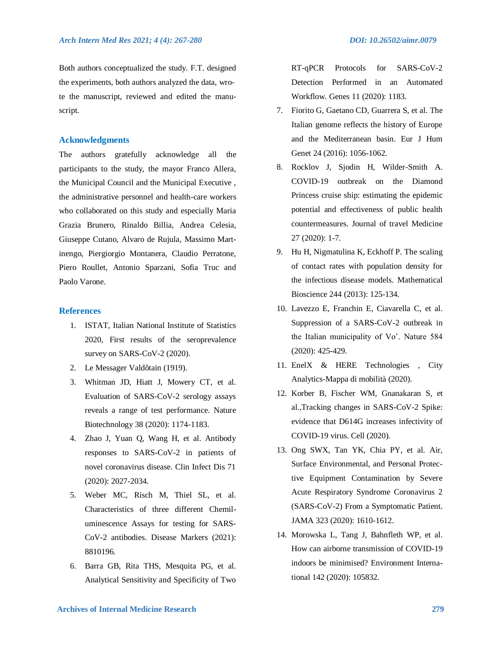Both authors conceptualized the study. F.T. designed the experiments, both authors analyzed the data, wrote the manuscript, reviewed and edited the manuscript.

# **Acknowledgments**

The authors gratefully acknowledge all the participants to the study, the mayor Franco Allera, the Municipal Council and the Municipal Executive , the administrative personnel and health-care workers who collaborated on this study and especially Maria Grazia Brunero, Rinaldo Billia, Andrea Celesia, Giuseppe Cutano, Alvaro de Rujula, Massimo Martinengo, Piergiorgio Montanera, Claudio Perratone, Piero Roullet, Antonio Sparzani, Sofia Truc and Paolo Varone.

## **References**

- 1. ISTAT, Italian National Institute of Statistics 2020, First results of the seroprevalence survey on SARS-CoV-2 (2020).
- 2. Le Messager Valdôtain (1919).
- 3. Whitman JD, Hiatt J, Mowery CT, et al. Evaluation of SARS-CoV-2 serology assays reveals a range of test performance. Nature Biotechnology 38 (2020): 1174-1183.
- 4. Zhao J, Yuan Q, Wang H, et al. Antibody responses to SARS-CoV-2 in patients of novel coronavirus disease. Clin Infect Dis 71 (2020): 2027-2034.
- 5. Weber MC, Risch M, Thiel SL, et al. Characteristics of three different Chemiluminescence Assays for testing for SARS-CoV-2 antibodies. Disease Markers (2021): 8810196.
- 6. Barra GB, Rita THS, Mesquita PG, et al. Analytical Sensitivity and Specificity of Two

RT-qPCR Protocols for SARS-CoV-2 Detection Performed in an Automated Workflow. Genes 11 (2020): 1183.

- 7. Fiorito G, Gaetano CD, Guarrera S, et al. The Italian genome reflects the history of Europe and the Mediterranean basin. Eur J Hum Genet 24 (2016): 1056-1062.
- 8. Rocklov J, Sjodin H, Wilder-Smith A. COVID-19 outbreak on the Diamond Princess cruise ship: estimating the epidemic potential and effectiveness of public health countermeasures. Journal of travel Medicine 27 (2020): 1-7.
- 9. Hu H, Nigmatulina K, Eckhoff P. The scaling of contact rates with population density for the infectious disease models. Mathematical Bioscience 244 (2013): 125-134.
- 10. Lavezzo E, Franchin E, Ciavarella C, et al. Suppression of a SARS-CoV-2 outbreak in the Italian municipality of Vo'. Nature 584 (2020): 425-429.
- 11. EnelX & HERE Technologies , City Analytics-Mappa di mobilità (2020).
- 12. Korber B, Fischer WM, Gnanakaran S, et al.,Tracking changes in SARS-CoV-2 Spike: evidence that D614G increases infectivity of COVID-19 virus. Cell (2020).
- 13. Ong SWX, Tan YK, Chia PY, et al. Air, Surface Environmental, and Personal Protective Equipment Contamination by Severe Acute Respiratory Syndrome Coronavirus 2 (SARS-CoV-2) From a Symptomatic Patient. JAMA 323 (2020): 1610-1612.
- 14. Morowska L, Tang J, Bahnfleth WP, et al. How can airborne transmission of COVID-19 indoors be minimised? Environment International 142 (2020): 105832.